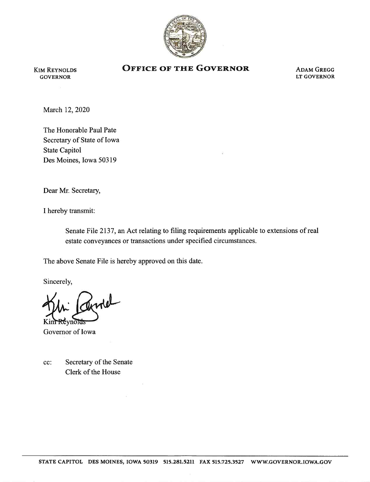

## KIM REYNOLDS **OFFICE OF THE GOVERNOR** ADAM GREGG GOVERNOR

GOVERNOR LT GOVERNOR

March 12, 2020

The Honorable Paul Pate Secretary of State of Iowa State Capitol Des Moines, Iowa 50319

Dear Mr. Secretary,

I hereby transmit:

Senate File 2137, an Act relating to filing requirements applicable to extensions of real estate conveyances or transactions under specified circumstances.

The above Senate File is hereby approved on this date.

Sincerely,

Kim Revnords

Governor of Iowa

cc: Secretary of the Senate Clerk of the House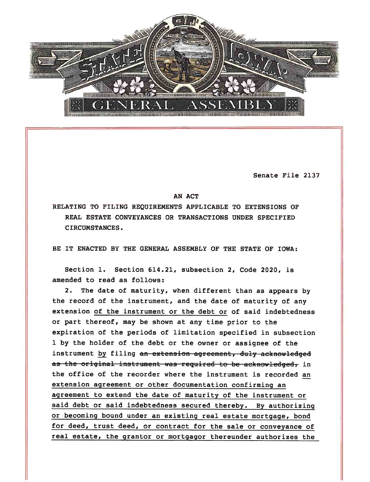

Senate File 2137

## AN ACT

RELATING TO FILING REQUIREMENTS APPLICABLE TO EXTENSIONS OF REAL ESTATE CONVEYANCES OR TRANSACTIONS UNDER SPECIFIED CIRCUMSTANCES.

BE IT ENACTED BY THE GENERAL ASSEMBLY OF THE STATE OF IOWA:

Section 1. Section 614.21, subsection 2, Code 2020, is amended to read as follows:

2. The date of maturity, when different than as appears by the record of the instrument, and the date of maturity of any extension of the instrument or the debt or of said indebtedness or part thereof, may be shown at any time prior to the expiration of the periods of limitation specified in subsection 1 by the holder of the debt or the owner or assignee of the instrument by filing an extension agreement, duly acknowledged as the original instrument was required to be acknowledged, in the office of the recorder where the instrument is recorded an extension agreement or other documentation confirming an agreement to extend the date of maturity of the instrument or said debt or said indebtedness secured thereby. By authorizing or becoming bound under an existing real estate mortgage, bond for deed, trust deed, or contract for the sale or conveyance of real estate, the grantor or mortgagor thereunder authorizes the